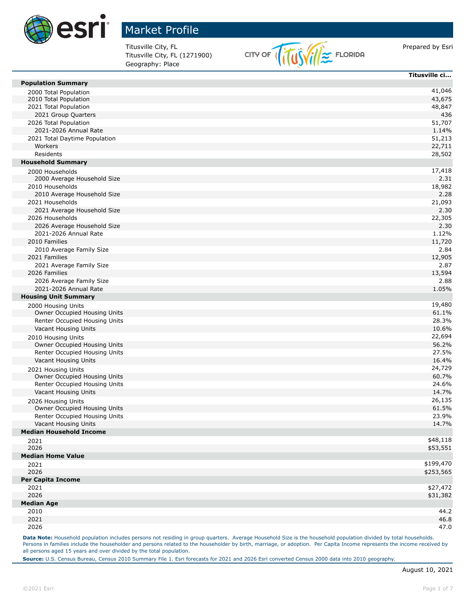

Titusville City, FL (1271900) Geography: Place



|                                | Titusville ci |
|--------------------------------|---------------|
| <b>Population Summary</b>      |               |
| 2000 Total Population          | 41,046        |
| 2010 Total Population          | 43,675        |
| 2021 Total Population          | 48,847        |
| 2021 Group Quarters            | 436           |
| 2026 Total Population          | 51,707        |
| 2021-2026 Annual Rate          | 1.14%         |
| 2021 Total Daytime Population  | 51,213        |
| Workers                        | 22,711        |
| Residents                      | 28,502        |
| <b>Household Summary</b>       |               |
| 2000 Households                | 17,418        |
| 2000 Average Household Size    | 2.31          |
| 2010 Households                | 18,982        |
| 2010 Average Household Size    | 2.28          |
| 2021 Households                | 21,093        |
| 2021 Average Household Size    | 2.30          |
| 2026 Households                | 22,305        |
| 2026 Average Household Size    | 2.30          |
| 2021-2026 Annual Rate          | 1.12%         |
| 2010 Families                  | 11,720        |
| 2010 Average Family Size       | 2.84          |
| 2021 Families                  | 12,905        |
| 2021 Average Family Size       | 2.87          |
| 2026 Families                  | 13,594        |
| 2026 Average Family Size       | 2.88          |
| 2021-2026 Annual Rate          | 1.05%         |
| <b>Housing Unit Summary</b>    |               |
| 2000 Housing Units             | 19,480        |
| Owner Occupied Housing Units   | 61.1%         |
| Renter Occupied Housing Units  | 28.3%         |
| Vacant Housing Units           | 10.6%         |
| 2010 Housing Units             | 22,694        |
| Owner Occupied Housing Units   | 56.2%         |
| Renter Occupied Housing Units  | 27.5%         |
| Vacant Housing Units           | 16.4%         |
| 2021 Housing Units             | 24,729        |
| Owner Occupied Housing Units   | 60.7%         |
| Renter Occupied Housing Units  | 24.6%         |
| Vacant Housing Units           | 14.7%         |
| 2026 Housing Units             | 26,135        |
| Owner Occupied Housing Units   | 61.5%         |
| Renter Occupied Housing Units  | 23.9%         |
| Vacant Housing Units           | 14.7%         |
| <b>Median Household Income</b> |               |
| 2021                           | \$48,118      |
| 2026                           | \$53,551      |
| <b>Median Home Value</b>       |               |
| 2021                           | \$199,470     |
| 2026                           | \$253,565     |
| <b>Per Capita Income</b>       |               |
| 2021                           | \$27,472      |
| 2026                           | \$31,382      |
| <b>Median Age</b>              |               |
| 2010                           | 44.2          |
| 2021                           | 46.8          |
| 2026                           | 47.0          |

Data Note: Household population includes persons not residing in group quarters. Average Household Size is the household population divided by total households. Persons in families include the householder and persons related to the householder by birth, marriage, or adoption. Per Capita Income represents the income received by all persons aged 15 years and over divided by the total population.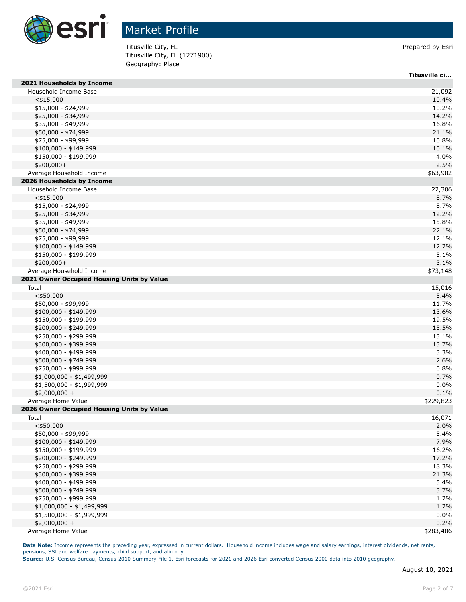

Titusville City, FL **Prepared by Esri** Prepared by Esri Titusville City, FL (1271900) Geography: Place

|                                            | Titusville ci  |
|--------------------------------------------|----------------|
| 2021 Households by Income                  |                |
| Household Income Base                      | 21,092         |
| $<$ \$15,000                               | 10.4%          |
| \$15,000 - \$24,999                        | 10.2%          |
| \$25,000 - \$34,999                        | 14.2%          |
| \$35,000 - \$49,999                        | 16.8%          |
| \$50,000 - \$74,999                        | 21.1%          |
| \$75,000 - \$99,999                        | 10.8%          |
| $$100,000 - $149,999$                      | 10.1%          |
| \$150,000 - \$199,999                      | 4.0%           |
| $$200,000+$                                | 2.5%           |
| Average Household Income                   | \$63,982       |
| 2026 Households by Income                  |                |
| Household Income Base                      |                |
| $<$ \$15,000                               | 22,306<br>8.7% |
|                                            |                |
| $$15,000 - $24,999$                        | 8.7%           |
| \$25,000 - \$34,999                        | 12.2%          |
| \$35,000 - \$49,999                        | 15.8%          |
| \$50,000 - \$74,999                        | 22.1%          |
| \$75,000 - \$99,999                        | 12.1%          |
| $$100,000 - $149,999$                      | 12.2%          |
| \$150,000 - \$199,999                      | 5.1%           |
| $$200,000+$                                | 3.1%           |
| Average Household Income                   | \$73,148       |
| 2021 Owner Occupied Housing Units by Value |                |
| Total                                      | 15,016         |
| $<$ \$50,000                               | 5.4%           |
| \$50,000 - \$99,999                        | 11.7%          |
| $$100,000 - $149,999$                      | 13.6%          |
| \$150,000 - \$199,999                      | 19.5%          |
| \$200,000 - \$249,999                      | 15.5%          |
| \$250,000 - \$299,999                      | 13.1%          |
| \$300,000 - \$399,999                      | 13.7%          |
| \$400,000 - \$499,999                      | 3.3%           |
| \$500,000 - \$749,999                      | 2.6%           |
| \$750,000 - \$999,999                      | 0.8%           |
| \$1,000,000 - \$1,499,999                  | 0.7%           |
| \$1,500,000 - \$1,999,999                  | 0.0%           |
| $$2,000,000 +$                             | 0.1%           |
| Average Home Value                         | \$229,823      |
| 2026 Owner Occupied Housing Units by Value |                |
| Total                                      | 16,071         |
| $<$ \$50,000                               | 2.0%           |
| \$50,000 - \$99,999                        | 5.4%           |
| \$100,000 - \$149,999                      | 7.9%           |
| \$150,000 - \$199,999                      | 16.2%          |
| \$200,000 - \$249,999                      | 17.2%          |
| \$250,000 - \$299,999                      | 18.3%          |
| \$300,000 - \$399,999                      | 21.3%          |
| \$400,000 - \$499,999                      | 5.4%           |
| \$500,000 - \$749,999                      | 3.7%           |
| \$750,000 - \$999,999                      | 1.2%           |
| \$1,000,000 - \$1,499,999                  | 1.2%           |
| \$1,500,000 - \$1,999,999                  | 0.0%           |
| $$2,000,000 +$                             | 0.2%           |
| Average Home Value                         | \$283,486      |

Data Note: Income represents the preceding year, expressed in current dollars. Household income includes wage and salary earnings, interest dividends, net rents, pensions, SSI and welfare payments, child support, and alimony.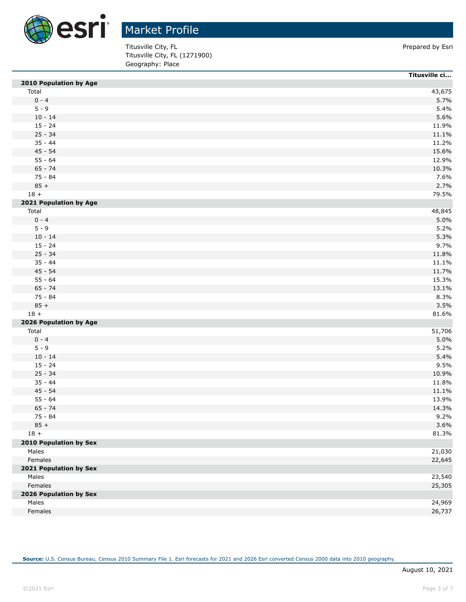

Titusville City, FL **Prepared by Esri** Prepared by Esri Titusville City, FL (1271900) Geography: Place

|                        | Titusville ci |
|------------------------|---------------|
| 2010 Population by Age |               |
| Total                  | 43,675        |
| $0 - 4$                | 5.7%          |
| $5 - 9$                | 5.4%          |
| $10 - 14$              | 5.6%          |
| $15 - 24$              | 11.9%         |
| $25 - 34$              | 11.1%         |
| $35 - 44$              | 11.2%         |
| $45 - 54$              | 15.6%         |
| $55 - 64$              | 12.9%         |
| $65 - 74$              | 10.3%         |
| $75 - 84$              | 7.6%          |
| $85 +$                 | 2.7%          |
| $18 +$                 | 79.5%         |
| 2021 Population by Age |               |
| Total                  | 48,845        |
| $0 - 4$                | 5.0%          |
| $5 - 9$                | 5.2%          |
| $10 - 14$              | 5.3%          |
| $15 - 24$              | 9.7%          |
| $25 - 34$              | 11.8%         |
| $35 - 44$              | 11.1%         |
| $45 - 54$              | 11.7%         |
| $55 - 64$              | 15.3%         |
| $65 - 74$              | 13.1%         |
| 75 - 84                | 8.3%          |
| $85 +$                 | 3.5%          |
| $18 +$                 | 81.6%         |
| 2026 Population by Age |               |
| Total                  | 51,706        |
| $0 - 4$                | 5.0%          |
| $5 - 9$                | 5.2%          |
| $10 - 14$              | 5.4%          |
| $15 - 24$              | 9.5%          |
| $25 - 34$              | 10.9%         |
| $35 - 44$              | 11.8%         |
| 45 - 54                | 11.1%         |
| $55 - 64$              | 13.9%         |
| $65 - 74$              | 14.3%         |
| 75 - 84                | 9.2%          |
| $85 +$                 | 3.6%          |
| $18 +$                 | 81.3%         |
| 2010 Population by Sex |               |
| Males                  | 21,030        |
| Females                | 22,645        |
| 2021 Population by Sex |               |
| Males                  | 23,540        |
| Females                | 25,305        |
| 2026 Population by Sex |               |
| Males                  | 24,969        |
| Females                | 26,737        |
|                        |               |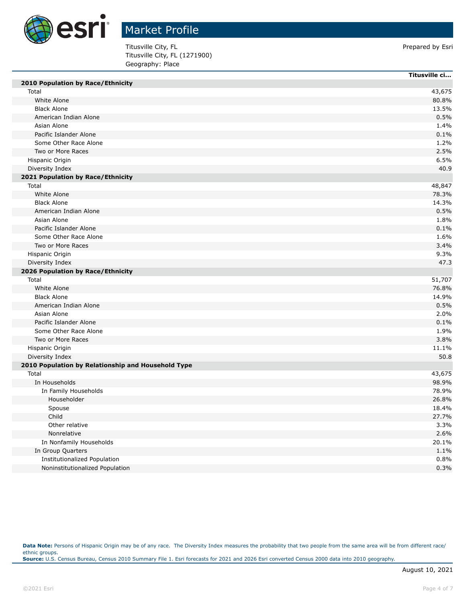

Titusville City, FL **Prepared by Esri** Prepared by Esri Titusville City, FL (1271900) Geography: Place

|                                                    | Titusville ci |
|----------------------------------------------------|---------------|
| 2010 Population by Race/Ethnicity                  |               |
| Total                                              | 43,675        |
| White Alone                                        | 80.8%         |
| <b>Black Alone</b>                                 | 13.5%         |
| American Indian Alone                              | 0.5%          |
| Asian Alone                                        | 1.4%          |
| Pacific Islander Alone                             | 0.1%          |
| Some Other Race Alone                              | 1.2%          |
| Two or More Races                                  | 2.5%          |
| Hispanic Origin                                    | 6.5%          |
| Diversity Index                                    | 40.9          |
| 2021 Population by Race/Ethnicity                  |               |
| Total                                              | 48,847        |
| White Alone                                        | 78.3%         |
| <b>Black Alone</b>                                 | 14.3%         |
| American Indian Alone                              | 0.5%          |
| Asian Alone                                        | 1.8%          |
| Pacific Islander Alone                             | 0.1%          |
| Some Other Race Alone                              | 1.6%          |
| Two or More Races                                  | 3.4%          |
| Hispanic Origin                                    | 9.3%          |
| Diversity Index                                    | 47.3          |
| 2026 Population by Race/Ethnicity                  |               |
| Total                                              | 51,707        |
| White Alone                                        | 76.8%         |
| <b>Black Alone</b>                                 | 14.9%         |
| American Indian Alone                              | 0.5%          |
| Asian Alone                                        | 2.0%          |
| Pacific Islander Alone                             | 0.1%          |
| Some Other Race Alone                              | 1.9%          |
| Two or More Races                                  | 3.8%          |
| Hispanic Origin                                    | 11.1%         |
| Diversity Index                                    | 50.8          |
| 2010 Population by Relationship and Household Type |               |
| Total                                              | 43,675        |
| In Households                                      | 98.9%         |
| In Family Households                               | 78.9%         |
| Householder                                        | 26.8%         |
| Spouse                                             | 18.4%         |
| Child                                              | 27.7%         |
| Other relative                                     | 3.3%          |
| Nonrelative                                        | 2.6%          |
| In Nonfamily Households                            | 20.1%         |
| In Group Quarters                                  | 1.1%          |
| <b>Institutionalized Population</b>                | 0.8%          |
| Noninstitutionalized Population                    | 0.3%          |

Data Note: Persons of Hispanic Origin may be of any race. The Diversity Index measures the probability that two people from the same area will be from different race/ ethnic groups. **Source:** U.S. Census Bureau, Census 2010 Summary File 1. Esri forecasts for 2021 and 2026 Esri converted Census 2000 data into 2010 geography.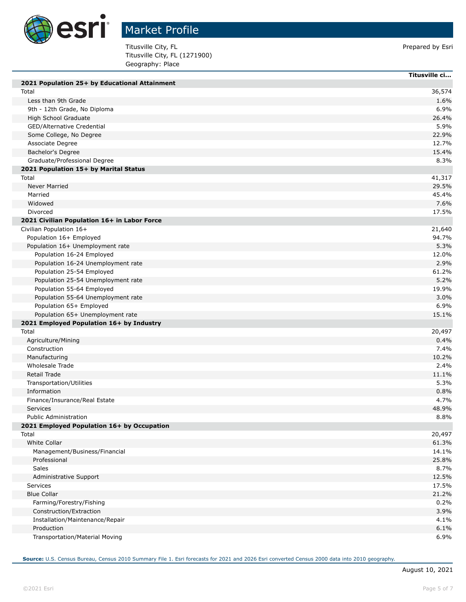

Г

Г

## Market Profile

Titusville City, FL **Prepared by Esri** Prepared by Esri Titusville City, FL (1271900) Geography: Place

|                                               | Titusville ci |
|-----------------------------------------------|---------------|
| 2021 Population 25+ by Educational Attainment |               |
| Total                                         | 36,574        |
| Less than 9th Grade                           | 1.6%          |
| 9th - 12th Grade, No Diploma                  | 6.9%          |
| High School Graduate                          | 26.4%         |
| GED/Alternative Credential                    | 5.9%          |
| Some College, No Degree                       | 22.9%         |
| Associate Degree                              | 12.7%         |
| Bachelor's Degree                             | 15.4%         |
| Graduate/Professional Degree                  | 8.3%          |
| 2021 Population 15+ by Marital Status         |               |
| Total                                         | 41,317        |
| <b>Never Married</b>                          | 29.5%         |
| Married                                       | 45.4%         |
| Widowed                                       | 7.6%          |
| Divorced                                      | 17.5%         |
| 2021 Civilian Population 16+ in Labor Force   |               |
| Civilian Population 16+                       | 21,640        |
| Population 16+ Employed                       | 94.7%         |
| Population 16+ Unemployment rate              | 5.3%          |
| Population 16-24 Employed                     | 12.0%         |
| Population 16-24 Unemployment rate            | 2.9%          |
| Population 25-54 Employed                     | 61.2%         |
| Population 25-54 Unemployment rate            | 5.2%          |
| Population 55-64 Employed                     | 19.9%         |
| Population 55-64 Unemployment rate            | 3.0%          |
| Population 65+ Employed                       | 6.9%          |
| Population 65+ Unemployment rate              | 15.1%         |
| 2021 Employed Population 16+ by Industry      |               |
| Total                                         | 20,497        |
| Agriculture/Mining                            | 0.4%          |
| Construction                                  | 7.4%          |
| Manufacturing                                 | 10.2%         |
| Wholesale Trade                               | 2.4%          |
| <b>Retail Trade</b>                           | 11.1%         |
| Transportation/Utilities                      | 5.3%          |
| Information                                   | 0.8%          |
| Finance/Insurance/Real Estate                 | 4.7%          |
| Services                                      | 48.9%         |
| <b>Public Administration</b>                  | 8.8%          |
| 2021 Employed Population 16+ by Occupation    |               |
| Total                                         | 20,497        |
| White Collar                                  | 61.3%         |
| Management/Business/Financial                 | 14.1%         |
| Professional                                  | 25.8%         |
| Sales                                         | 8.7%          |
| Administrative Support                        | 12.5%         |
| Services                                      | 17.5%         |
| <b>Blue Collar</b>                            | 21.2%         |
| Farming/Forestry/Fishing                      | 0.2%          |
| Construction/Extraction                       | 3.9%          |
| Installation/Maintenance/Repair               | 4.1%          |
| Production                                    | 6.1%          |
| Transportation/Material Moving                | 6.9%          |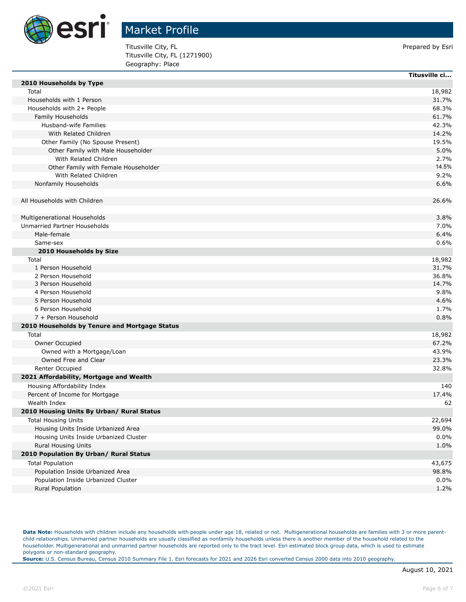

Titusville City, FL **Prepared by Esri** Prepared by Esri Titusville City, FL (1271900) Geography: Place

|                                               | Titusville ci |
|-----------------------------------------------|---------------|
| 2010 Households by Type                       |               |
| Total                                         | 18,982        |
| Households with 1 Person                      | 31.7%         |
| Households with 2+ People                     | 68.3%         |
| Family Households                             | 61.7%         |
| Husband-wife Families                         | 42.3%         |
| With Related Children                         | 14.2%         |
| Other Family (No Spouse Present)              | 19.5%         |
| Other Family with Male Householder            | 5.0%          |
| With Related Children                         | 2.7%          |
| Other Family with Female Householder          | 14.5%         |
| With Related Children                         | 9.2%          |
| Nonfamily Households                          | 6.6%          |
| All Households with Children                  | 26.6%         |
| Multigenerational Households                  | 3.8%          |
| Unmarried Partner Households                  | 7.0%          |
| Male-female                                   | 6.4%          |
| Same-sex                                      | 0.6%          |
| 2010 Households by Size                       |               |
| Total                                         | 18,982        |
| 1 Person Household                            | 31.7%         |
| 2 Person Household                            | 36.8%         |
| 3 Person Household                            | 14.7%         |
| 4 Person Household                            | 9.8%          |
| 5 Person Household                            | 4.6%          |
| 6 Person Household                            | 1.7%          |
| 7 + Person Household                          | 0.8%          |
| 2010 Households by Tenure and Mortgage Status |               |
| Total                                         | 18,982        |
| Owner Occupied                                | 67.2%         |
| Owned with a Mortgage/Loan                    | 43.9%         |
| Owned Free and Clear                          | 23.3%         |
| Renter Occupied                               | 32.8%         |
| 2021 Affordability, Mortgage and Wealth       |               |
| Housing Affordability Index                   | 140           |
| Percent of Income for Mortgage                | 17.4%         |
| Wealth Index                                  | 62            |
| 2010 Housing Units By Urban/ Rural Status     |               |
| <b>Total Housing Units</b>                    | 22,694        |
| Housing Units Inside Urbanized Area           | 99.0%         |
| Housing Units Inside Urbanized Cluster        | 0.0%          |
| <b>Rural Housing Units</b>                    | 1.0%          |
| 2010 Population By Urban/ Rural Status        |               |
|                                               |               |
| <b>Total Population</b>                       | 43,675        |
| Population Inside Urbanized Area              | 98.8%         |
| Population Inside Urbanized Cluster           | 0.0%          |
| <b>Rural Population</b>                       | 1.2%          |

Data Note: Households with children include any households with people under age 18, related or not. Multigenerational households are families with 3 or more parentchild relationships. Unmarried partner households are usually classified as nonfamily households unless there is another member of the household related to the householder. Multigenerational and unmarried partner households are reported only to the tract level. Esri estimated block group data, which is used to estimate polygons or non-standard geography.